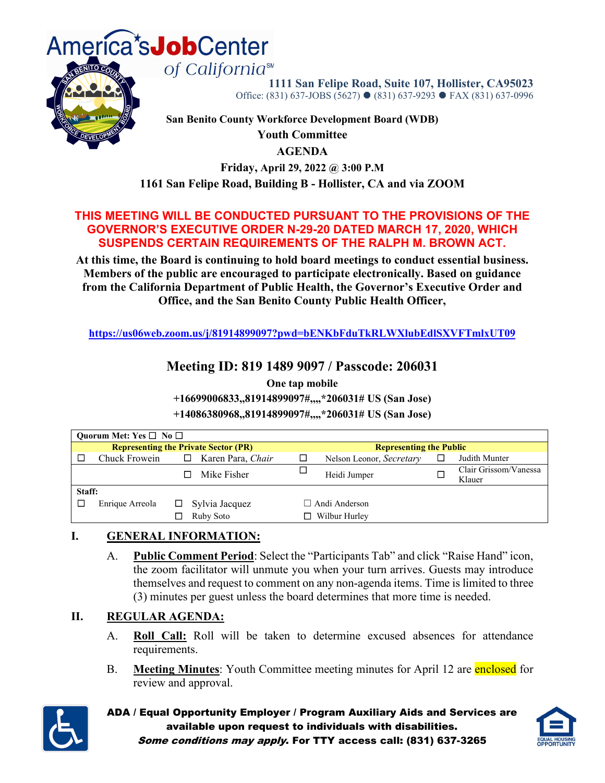

**1111 San Felipe Road, Suite 107, Hollister, CA95023**  Office: (831) 637-JOBS (5627) ● (831) 637-9293 ● FAX (831) 637-0996

**San Benito County Workforce Development Board (WDB) Youth Committee AGENDA Friday, April 29, 2022 @ 3:00 P.M**

**1161 San Felipe Road, Building B - Hollister, CA and via ZOOM**

#### **THIS MEETING WILL BE CONDUCTED PURSUANT TO THE PROVISIONS OF THE GOVERNOR'S EXECUTIVE ORDER N-29-20 DATED MARCH 17, 2020, WHICH SUSPENDS CERTAIN REQUIREMENTS OF THE RALPH M. BROWN ACT.**

**At this time, the Board is continuing to hold board meetings to conduct essential business. Members of the public are encouraged to participate electronically. Based on guidance from the California Department of Public Health, the Governor's Executive Order and Office, and the San Benito County Public Health Officer,**

**<https://us06web.zoom.us/j/81914899097?pwd=bENKbFduTkRLWXlubEdlSXVFTmlxUT09>**

### **Meeting ID: 819 1489 9097 / Passcode: 206031**

**One tap mobile**

**+16699006833,,81914899097#,,,,\*206031# US (San Jose)**

**+14086380968,,81914899097#,,,,\*206031# US (San Jose)**

| Quorum Met: Yes $\square$ No $\square$ |                 |                                             |                                |  |                                 |  |  |  |  |
|----------------------------------------|-----------------|---------------------------------------------|--------------------------------|--|---------------------------------|--|--|--|--|
|                                        |                 | <b>Representing the Private Sector (PR)</b> | <b>Representing the Public</b> |  |                                 |  |  |  |  |
|                                        | Chuck Frowein   | Karen Para, Chair<br>□                      | Nelson Leonor, Secretary       |  | Judith Munter                   |  |  |  |  |
|                                        |                 | Mike Fisher                                 | Heidi Jumper                   |  | Clair Grissom/Vanessa<br>Klauer |  |  |  |  |
| Staff:                                 |                 |                                             |                                |  |                                 |  |  |  |  |
|                                        | Enrique Arreola | Sylvia Jacquez<br>LJ -                      | $\Box$ Andi Anderson           |  |                                 |  |  |  |  |
|                                        |                 | Ruby Soto                                   | Wilbur Hurley                  |  |                                 |  |  |  |  |

#### **I. GENERAL INFORMATION:**

A. **Public Comment Period**: Select the "Participants Tab" and click "Raise Hand" icon, the zoom facilitator will unmute you when your turn arrives. Guests may introduce themselves and request to comment on any non-agenda items. Time is limited to three (3) minutes per guest unless the board determines that more time is needed.

#### **II. REGULAR AGENDA:**

- A. **Roll Call:** Roll will be taken to determine excused absences for attendance requirements.
- B. **Meeting Minutes**: Youth Committee meeting minutes for April 12 are enclosed for review and approval.



ADA / Equal Opportunity Employer / Program Auxiliary Aids and Services are available upon request to individuals with disabilities.



Some conditions may apply. For TTY access call: (831) 637-3265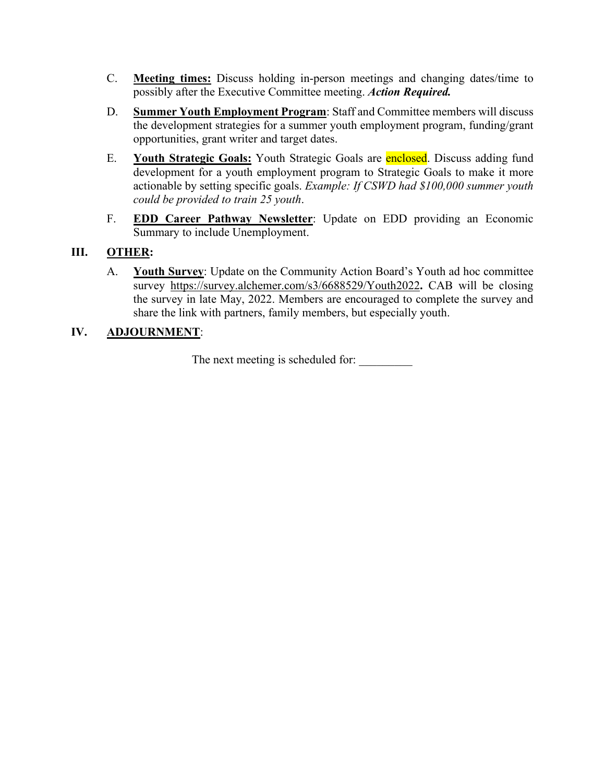- C. **Meeting times:** Discuss holding in-person meetings and changing dates/time to possibly after the Executive Committee meeting. *Action Required.*
- D. **Summer Youth Employment Program**: Staff and Committee members will discuss the development strategies for a summer youth employment program, funding/grant opportunities, grant writer and target dates.
- E. **Youth Strategic Goals:** Youth Strategic Goals are enclosed. Discuss adding fund development for a youth employment program to Strategic Goals to make it more actionable by setting specific goals. *Example: If CSWD had \$100,000 summer youth could be provided to train 25 youth*.
- F. **EDD Career Pathway Newsletter**: Update on EDD providing an Economic Summary to include Unemployment.

#### **III. OTHER:**

A. **Youth Survey**: Update on the Community Action Board's Youth ad hoc committee survey <https://survey.alchemer.com/s3/6688529/Youth2022>**.** CAB will be closing the survey in late May, 2022. Members are encouraged to complete the survey and share the link with partners, family members, but especially youth.

#### **IV. ADJOURNMENT**:

The next meeting is scheduled for: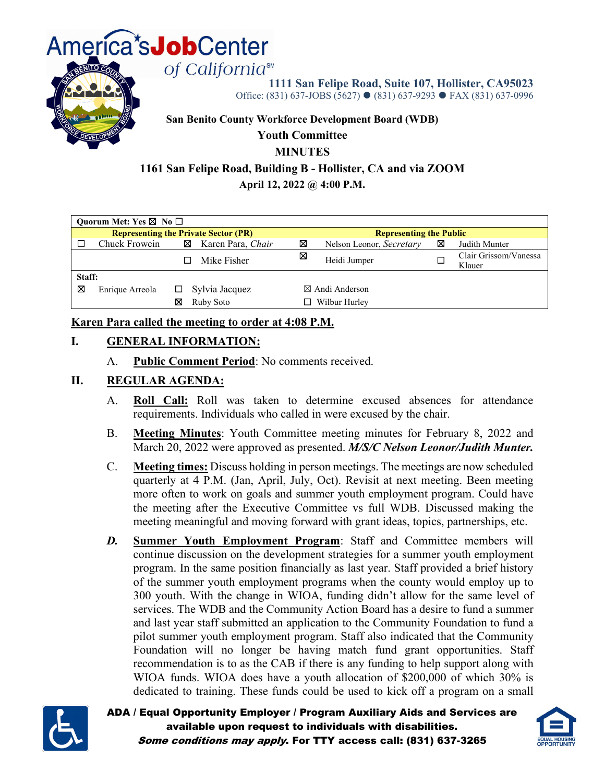

**1111 San Felipe Road, Suite 107, Hollister, CA95023** Office: (831) 637-JOBS (5627) ● (831) 637-9293 ● FAX (831) 637-0996

**San Benito County Workforce Development Board (WDB)**

#### **Youth Committee**

#### **MINUTES**

#### **1161 San Felipe Road, Building B - Hollister, CA and via ZOOM**

**April 12, 2022 @ 4:00 P.M.**

| Quorum Met: Yes $\boxtimes$ No $\Box$ |                                             |   |                   |   |                                |   |                                 |  |  |
|---------------------------------------|---------------------------------------------|---|-------------------|---|--------------------------------|---|---------------------------------|--|--|
|                                       | <b>Representing the Private Sector (PR)</b> |   |                   |   | <b>Representing the Public</b> |   |                                 |  |  |
|                                       | Chuck Frowein                               | ⊠ | Karen Para, Chair | ⊠ | Nelson Leonor, Secretary       | ⊠ | Judith Munter                   |  |  |
|                                       |                                             |   | Mike Fisher       | ⊠ | Heidi Jumper                   |   | Clair Grissom/Vanessa<br>Klauer |  |  |
| Staff:                                |                                             |   |                   |   |                                |   |                                 |  |  |
| ⊠                                     | Enrique Arreola                             |   | Sylvia Jacquez    |   | $\boxtimes$ Andi Anderson      |   |                                 |  |  |
|                                       |                                             | ⊠ | Ruby Soto         |   | Wilbur Hurley                  |   |                                 |  |  |

#### **Karen Para called the meeting to order at 4:08 P.M.**

#### **I. GENERAL INFORMATION:**

A. **Public Comment Period**: No comments received.

#### **II. REGULAR AGENDA:**

- A. **Roll Call:** Roll was taken to determine excused absences for attendance requirements. Individuals who called in were excused by the chair.
- B. **Meeting Minutes**: Youth Committee meeting minutes for February 8, 2022 and March 20, 2022 were approved as presented. *M/S/C Nelson Leonor/Judith Munter.*
- C. **Meeting times:** Discuss holding in person meetings. The meetings are now scheduled quarterly at 4 P.M. (Jan, April, July, Oct). Revisit at next meeting. Been meeting more often to work on goals and summer youth employment program. Could have the meeting after the Executive Committee vs full WDB. Discussed making the meeting meaningful and moving forward with grant ideas, topics, partnerships, etc.
- *D.* **Summer Youth Employment Program**: Staff and Committee members will continue discussion on the development strategies for a summer youth employment program. In the same position financially as last year. Staff provided a brief history of the summer youth employment programs when the county would employ up to 300 youth. With the change in WIOA, funding didn't allow for the same level of services. The WDB and the Community Action Board has a desire to fund a summer and last year staff submitted an application to the Community Foundation to fund a pilot summer youth employment program. Staff also indicated that the Community Foundation will no longer be having match fund grant opportunities. Staff recommendation is to as the CAB if there is any funding to help support along with WIOA funds. WIOA does have a youth allocation of \$200,000 of which 30% is dedicated to training. These funds could be used to kick off a program on a small



ADA / Equal Opportunity Employer / Program Auxiliary Aids and Services are available upon request to individuals with disabilities. Some conditions may apply. For TTY access call: (831) 637-3265

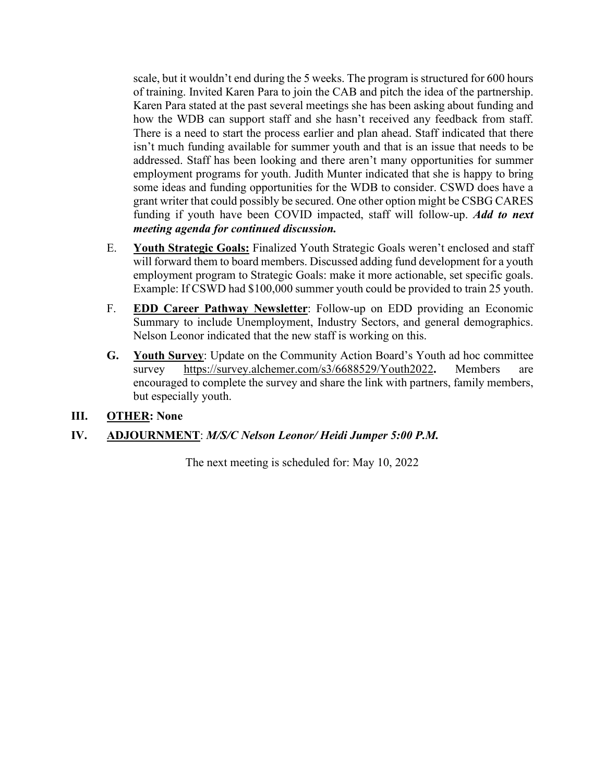scale, but it wouldn't end during the 5 weeks. The program is structured for 600 hours of training. Invited Karen Para to join the CAB and pitch the idea of the partnership. Karen Para stated at the past several meetings she has been asking about funding and how the WDB can support staff and she hasn't received any feedback from staff. There is a need to start the process earlier and plan ahead. Staff indicated that there isn't much funding available for summer youth and that is an issue that needs to be addressed. Staff has been looking and there aren't many opportunities for summer employment programs for youth. Judith Munter indicated that she is happy to bring some ideas and funding opportunities for the WDB to consider. CSWD does have a grant writer that could possibly be secured. One other option might be CSBG CARES funding if youth have been COVID impacted, staff will follow-up. *Add to next meeting agenda for continued discussion.*

- E. **Youth Strategic Goals:** Finalized Youth Strategic Goals weren't enclosed and staff will forward them to board members. Discussed adding fund development for a youth employment program to Strategic Goals: make it more actionable, set specific goals. Example: If CSWD had \$100,000 summer youth could be provided to train 25 youth.
- F. **EDD Career Pathway Newsletter**: Follow-up on EDD providing an Economic Summary to include Unemployment, Industry Sectors, and general demographics. Nelson Leonor indicated that the new staff is working on this.
- **G. Youth Survey**: Update on the Community Action Board's Youth ad hoc committee survey <https://survey.alchemer.com/s3/6688529/Youth2022>**.** Members are encouraged to complete the survey and share the link with partners, family members, but especially youth.

#### **III. OTHER: None**

#### **IV. ADJOURNMENT**: *M/S/C Nelson Leonor/ Heidi Jumper 5:00 P.M.*

The next meeting is scheduled for: May 10, 2022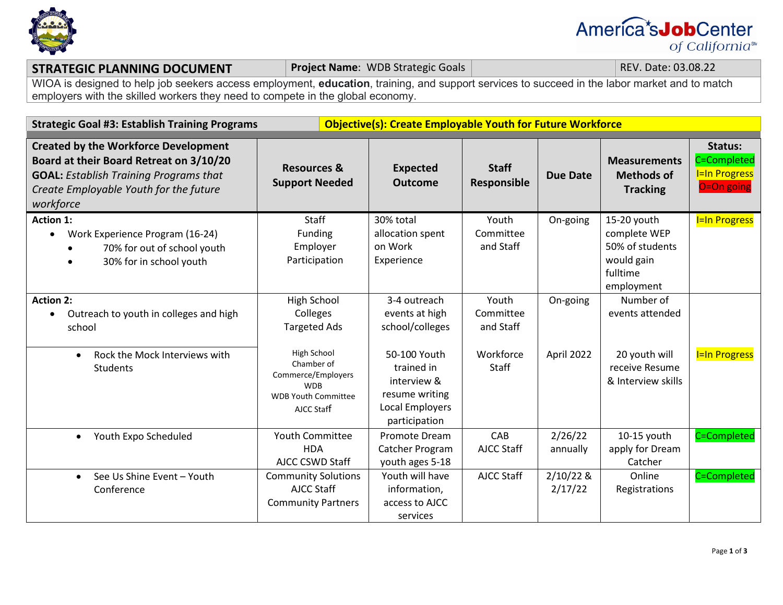

# America<sup>\*</sup>s**Job**Center of California<sup>™</sup>

#### **STRATEGIC PLANNING DOCUMENT Project Name**: WDB Strategic Goals **REV. Date: 03.08.22**

WIOA is designed to help job seekers access employment, **education**, training, and support services to succeed in the labor market and to match employers with the skilled workers they need to compete in the global economy.

| <b>Strategic Goal #3: Establish Training Programs</b>                                                                                                                                          |                                                                                                           | <b>Objective(s): Create Employable Youth for Future Workforce</b>                                      |                                 |                        |                                                                                        |                                                                     |  |
|------------------------------------------------------------------------------------------------------------------------------------------------------------------------------------------------|-----------------------------------------------------------------------------------------------------------|--------------------------------------------------------------------------------------------------------|---------------------------------|------------------------|----------------------------------------------------------------------------------------|---------------------------------------------------------------------|--|
| <b>Created by the Workforce Development</b><br>Board at their Board Retreat on 3/10/20<br><b>GOAL: Establish Training Programs that</b><br>Create Employable Youth for the future<br>workforce | <b>Resources &amp;</b><br><b>Support Needed</b>                                                           | <b>Expected</b><br><b>Outcome</b>                                                                      | <b>Staff</b><br>Responsible     | <b>Due Date</b>        | <b>Measurements</b><br><b>Methods of</b><br><b>Tracking</b>                            | <b>Status:</b><br>C=Completed<br><b>I=In Progress</b><br>O=On going |  |
| <b>Action 1:</b><br>Work Experience Program (16-24)<br>70% for out of school youth<br>30% for in school youth                                                                                  | Staff<br>Funding<br>Employer<br>Participation                                                             | 30% total<br>allocation spent<br>on Work<br>Experience                                                 | Youth<br>Committee<br>and Staff | On-going               | 15-20 youth<br>complete WEP<br>50% of students<br>would gain<br>fulltime<br>employment | <b>I=In Progress</b>                                                |  |
| <b>Action 2:</b><br>Outreach to youth in colleges and high<br>school                                                                                                                           | <b>High School</b><br>Colleges<br><b>Targeted Ads</b>                                                     | 3-4 outreach<br>events at high<br>school/colleges                                                      | Youth<br>Committee<br>and Staff | On-going               | Number of<br>events attended                                                           |                                                                     |  |
| Rock the Mock Interviews with<br>$\bullet$<br><b>Students</b>                                                                                                                                  | High School<br>Chamber of<br>Commerce/Employers<br><b>WDB</b><br><b>WDB Youth Committee</b><br>AJCC Staff | 50-100 Youth<br>trained in<br>interview &<br>resume writing<br><b>Local Employers</b><br>participation | Workforce<br>Staff              | April 2022             | 20 youth will<br>receive Resume<br>& Interview skills                                  | <b>I=In Progress</b>                                                |  |
| Youth Expo Scheduled<br>$\bullet$                                                                                                                                                              | <b>Youth Committee</b><br><b>HDA</b><br>AJCC CSWD Staff                                                   | Promote Dream<br>Catcher Program<br>youth ages 5-18                                                    | CAB<br><b>AJCC Staff</b>        | 2/26/22<br>annually    | 10-15 youth<br>apply for Dream<br>Catcher                                              | C=Completed                                                         |  |
| See Us Shine Event - Youth<br>$\bullet$<br>Conference                                                                                                                                          | <b>Community Solutions</b><br>AJCC Staff<br><b>Community Partners</b>                                     | Youth will have<br>information,<br>access to AJCC<br>services                                          | AJCC Staff                      | $2/10/22$ &<br>2/17/22 | Online<br>Registrations                                                                | C=Completed                                                         |  |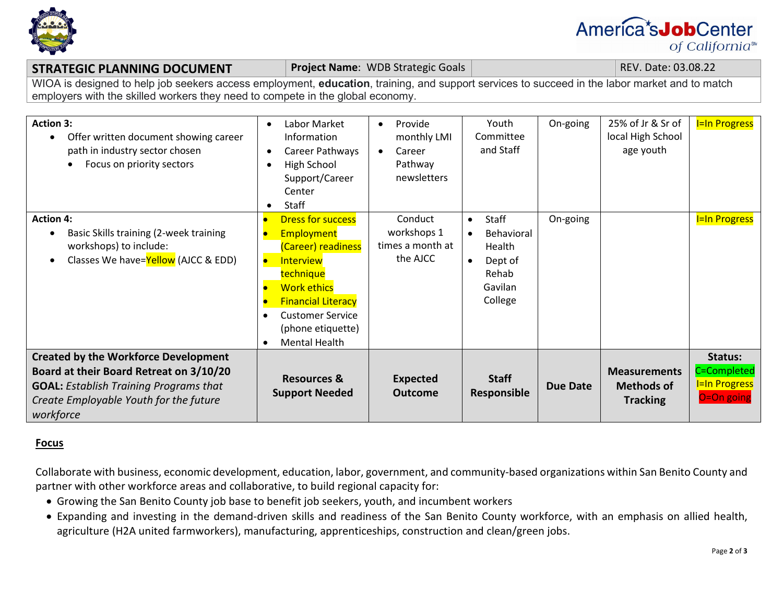

# America<sup>\*</sup>s**Job**Center of California<sup>™</sup>

#### **STRATEGIC PLANNING DOCUMENT Project Name**: WDB Strategic Goals **REV. Date: 03.08.22** REV. Date: 03.08.22

WIOA is designed to help job seekers access employment, **education**, training, and support services to succeed in the labor market and to match employers with the skilled workers they need to compete in the global economy.

| <b>Action 3:</b><br>Offer written document showing career<br>path in industry sector chosen<br>Focus on priority sectors<br>$\bullet$                                                          | Labor Market<br>$\bullet$<br>Information<br>Career Pathways<br>High School<br>Support/Career<br>Center<br>Staff                                                                                                                                    | Provide<br>$\bullet$<br>monthly LMI<br>Career<br>$\bullet$<br>Pathway<br>newsletters | Youth<br>Committee<br>and Staff                                                      | On-going | 25% of Jr & Sr of<br>local High School<br>age youth         | <b>I=In Progress</b>                                         |
|------------------------------------------------------------------------------------------------------------------------------------------------------------------------------------------------|----------------------------------------------------------------------------------------------------------------------------------------------------------------------------------------------------------------------------------------------------|--------------------------------------------------------------------------------------|--------------------------------------------------------------------------------------|----------|-------------------------------------------------------------|--------------------------------------------------------------|
| <b>Action 4:</b><br>Basic Skills training (2-week training<br>workshops) to include:<br>Classes We have=Yellow (AJCC & EDD)                                                                    | <b>Dress for success</b><br>Employment<br>(Career) readiness<br><b>Interview</b><br>$\bullet$<br>technique<br><b>Work ethics</b><br><b>Financial Literacy</b><br><b>Customer Service</b><br>(phone etiquette)<br><b>Mental Health</b><br>$\bullet$ | Conduct<br>workshops 1<br>times a month at<br>the AJCC                               | Staff<br>$\bullet$<br>Behavioral<br>Health<br>Dept of<br>Rehab<br>Gavilan<br>College | On-going |                                                             | <b>I=In Progress</b>                                         |
| <b>Created by the Workforce Development</b><br>Board at their Board Retreat on 3/10/20<br><b>GOAL: Establish Training Programs that</b><br>Create Employable Youth for the future<br>workforce | <b>Resources &amp;</b><br><b>Support Needed</b>                                                                                                                                                                                                    | <b>Expected</b><br><b>Outcome</b>                                                    | <b>Staff</b><br>Responsible                                                          | Due Date | <b>Measurements</b><br><b>Methods of</b><br><b>Tracking</b> | Status:<br>C=Completed<br><b>I=In Progress</b><br>O=On going |

#### **Focus**

Collaborate with business, economic development, education, labor, government, and community-based organizations within San Benito County and partner with other workforce areas and collaborative, to build regional capacity for:

- Growing the San Benito County job base to benefit job seekers, youth, and incumbent workers
- Expanding and investing in the demand-driven skills and readiness of the San Benito County workforce, with an emphasis on allied health, agriculture (H2A united farmworkers), manufacturing, apprenticeships, construction and clean/green jobs.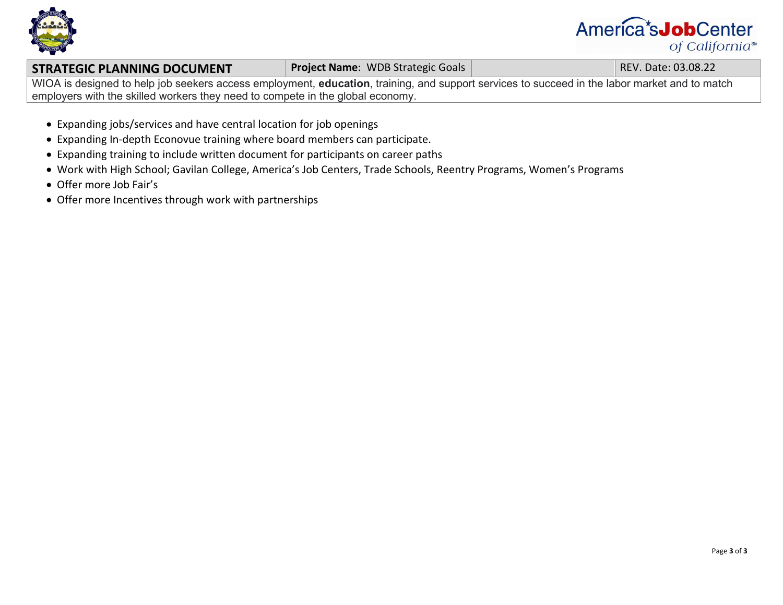

# America<sup>\*</sup>s**Job**Center of California<sup>™</sup>

#### **STRATEGIC PLANNING DOCUMENT Project Name**: WDB Strategic Goals **REV. Date: 03.08.22**

WIOA is designed to help job seekers access employment, **education**, training, and support services to succeed in the labor market and to match employers with the skilled workers they need to compete in the global economy.

- Expanding jobs/services and have central location for job openings
- Expanding In-depth Econovue training where board members can participate.
- Expanding training to include written document for participants on career paths
- Work with High School; Gavilan College, America's Job Centers, Trade Schools, Reentry Programs, Women's Programs
- Offer more Job Fair's
- Offer more Incentives through work with partnerships